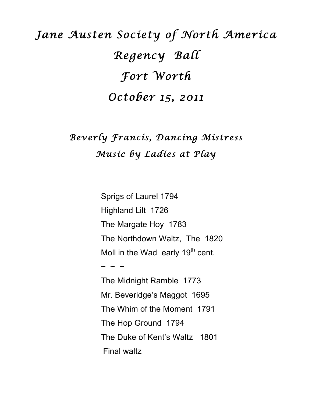# *Jane Austen Society of North America Regency Ball Fort Worth October 15, 2011*

## *Beverly Francis, Dancing Mistress Music by Ladies at Play*

Sprigs of Laurel 1794 Highland Lilt 1726 The Margate Hoy 1783 The Northdown Waltz, The 1820 Moll in the Wad early  $19<sup>th</sup>$  cent.  $\sim$   $\sim$ The Midnight Ramble 1773 Mr. Beveridge's Maggot 1695 The Whim of the Moment 1791 The Hop Ground 1794 The Duke of Kent's Waltz 1801 Final waltz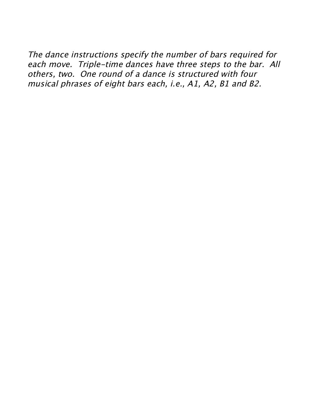The dance instructions specify the number of bars required for each move. Triple-time dances have three steps to the bar. All others, two. One round of a dance is structured with four musical phrases of eight bars each, i.e., A1, A2, B1 and B2.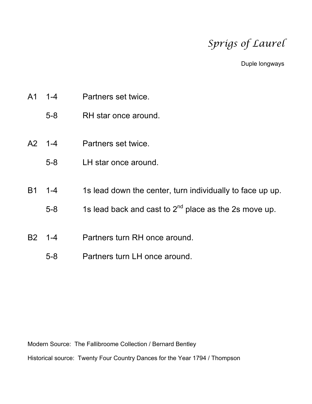### *Sprigs of Laurel*

Duple longways

- A1 1-4 Partners set twice.
	- 5-8 RH star once around.
- A2 1-4 Partners set twice.
	- 5-8 LH star once around.
- B1 1-4 1s lead down the center, turn individually to face up up.
	- 5-8 1s lead back and cast to  $2<sup>nd</sup>$  place as the 2s move up.
- B2 1-4 Partners turn RH once around.
	- 5-8 Partners turn LH once around.

Modern Source: The Fallibroome Collection / Bernard Bentley

Historical source: Twenty Four Country Dances for the Year 1794 / Thompson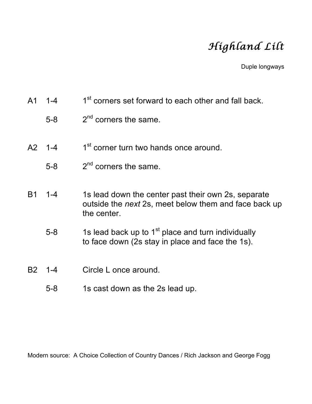## *Highland Lilt*

Duple longways

- A1  $1-4$  1st corners set forward to each other and fall back.
	- $5-8$  2<sup>nd</sup> corners the same.
- A2  $1-4$  1<sup>st</sup> corner turn two hands once around.
	- $5-8$  2<sup>nd</sup> corners the same.
- B1 1-4 1s lead down the center past their own 2s, separate outside the *next* 2s, meet below them and face back up the center.
	- 5-8 1s lead back up to  $1<sup>st</sup>$  place and turn individually to face down (2s stay in place and face the 1s).
- B2 1-4 Circle L once around.
	- 5-8 1s cast down as the 2s lead up.

Modern source: A Choice Collection of Country Dances / Rich Jackson and George Fogg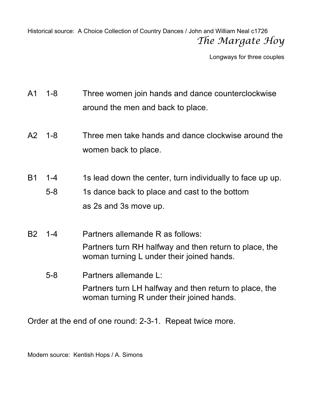Historical source: A Choice Collection of Country Dances / John and William Neal c1726 *The Margate Hoy*

Longways for three couples

- A1 1-8 Three women join hands and dance counterclockwise around the men and back to place.
- A2 1-8 Three men take hands and dance clockwise around the women back to place.
- B1 1-4 1s lead down the center, turn individually to face up up.
	- 5-8 1s dance back to place and cast to the bottom as 2s and 3s move up.
- B2 1-4 Partners allemande R as follows: Partners turn RH halfway and then return to place, the woman turning L under their joined hands.
	- 5-8 Partners allemande L: Partners turn LH halfway and then return to place, the woman turning R under their joined hands.

Order at the end of one round: 2-3-1. Repeat twice more.

Modern source: Kentish Hops / A. Simons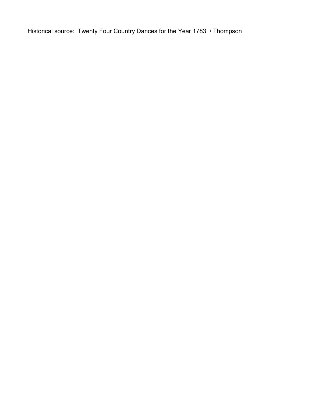Historical source: Twenty Four Country Dances for the Year 1783 / Thompson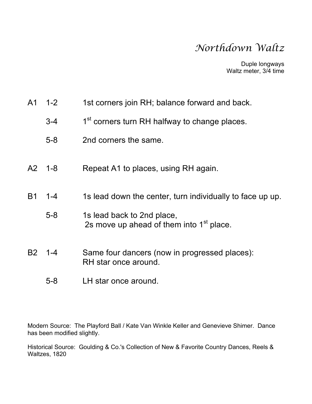#### *Northdown Waltz*

Duple longways Waltz meter, 3/4 time

| A1 1-2 | 1st corners join RH; balance forward and back. |  |  |  |
|--------|------------------------------------------------|--|--|--|
|        |                                                |  |  |  |

- 3-4 1<sup>st</sup> corners turn RH halfway to change places.
- 5-8 2nd corners the same.
- A2 1-8 Repeat A1 to places, using RH again.
- B1 1-4 1s lead down the center, turn individually to face up up.
	- 5-8 1s lead back to 2nd place, 2s move up ahead of them into  $1<sup>st</sup>$  place.
- B2 1-4 Same four dancers (now in progressed places): RH star once around.
	- 5-8 LH star once around.

Modern Source: The Playford Ball / Kate Van Winkle Keller and Genevieve Shimer. Dance has been modified slightly.

Historical Source: Goulding & Co.'s Collection of New & Favorite Country Dances, Reels & Waltzes, 1820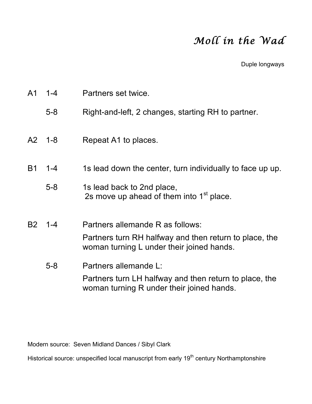### *Moll in the Wad*

Duple longways

| A <sub>1</sub> | $1 - 4$    | Partners set twice.                                                                                                                     |
|----------------|------------|-----------------------------------------------------------------------------------------------------------------------------------------|
|                | $5 - 8$    | Right-and-left, 2 changes, starting RH to partner.                                                                                      |
|                | $A2 \t1-8$ | Repeat A1 to places.                                                                                                                    |
| <b>B1</b>      | $1 - 4$    | 1s lead down the center, turn individually to face up up.                                                                               |
|                | $5 - 8$    | 1s lead back to 2nd place,<br>2s move up ahead of them into 1 <sup>st</sup> place.                                                      |
| <b>B2</b>      | $1 - 4$    | Partners allemande R as follows:<br>Partners turn RH halfway and then return to place, the<br>woman turning L under their joined hands. |
|                | $5 - 8$    | Partners allemande L:<br>Partners turn LH halfway and then return to place, the<br>woman turning R under their joined hands.            |

Modern source: Seven Midland Dances / Sibyl Clark

Historical source: unspecified local manuscript from early 19<sup>th</sup> century Northamptonshire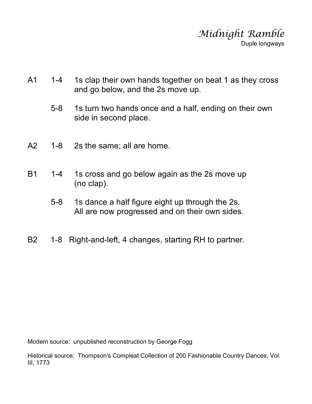

- A1 1-4 1s clap their own hands together on beat 1 as they cross and go below, and the 2s move up.
	- 5-8 1s turn two hands once and a half, ending on their own side in second place.
- A2 1-8 2s the same; all are home.
- B1 1-4 1s cross and go below again as the 2s move up (no clap).
	- 5-8 1s dance a half figure eight up through the 2s. All are now progressed and on their own sides.
- B2 1-8 Right-and-left, 4 changes, starting RH to partner.

Modern source: unpublished reconstruction by George Fogg

Historical source: Thompson's Compleat Collection of 200 Fashionable Country Dances, Vol. III, 1773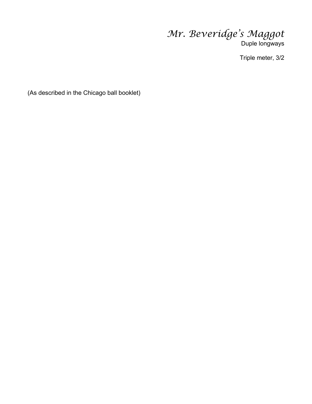*Mr. Beveridge's Maggot* Duple longways

Triple meter, 3/2

(As described in the Chicago ball booklet)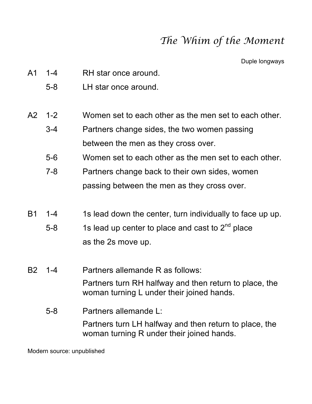#### *The Whim of the Moment*

Duple longways

- A1 1-4 RH star once around.
	- 5-8 LH star once around.
- A2 1-2 Women set to each other as the men set to each other.
	- 3-4 Partners change sides, the two women passing between the men as they cross over.
	- 5-6 Women set to each other as the men set to each other.
	- 7-8 Partners change back to their own sides, women passing between the men as they cross over.
- B1 1-4 1s lead down the center, turn individually to face up up.
	- 5-8 1s lead up center to place and cast to  $2^{nd}$  place as the 2s move up.
- B2 1-4 Partners allemande R as follows: Partners turn RH halfway and then return to place, the woman turning L under their joined hands.
	- 5-8 Partners allemande L: Partners turn LH halfway and then return to place, the woman turning R under their joined hands.

Modern source: unpublished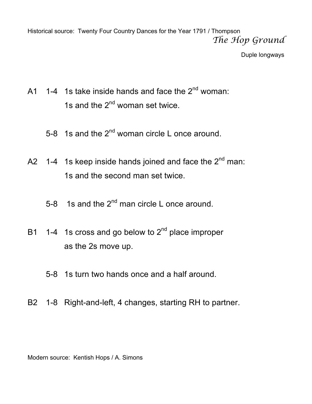Historical source: Twenty Four Country Dances for the Year 1791 / Thompson *The Hop Ground*

Duple longways

- A1 1-4 1s take inside hands and face the  $2^{nd}$  woman: 1s and the  $2^{nd}$  woman set twice.
	- 5-8 1s and the  $2^{nd}$  woman circle L once around.
- A2 1-4 1s keep inside hands joined and face the  $2^{nd}$  man: 1s and the second man set twice.
	- 5-8 1s and the  $2^{nd}$  man circle L once around.
- B1 1-4 1s cross and go below to  $2<sup>nd</sup>$  place improper as the 2s move up.
	- 5-8 1s turn two hands once and a half around.
- B2 1-8 Right-and-left, 4 changes, starting RH to partner.

Modern source: Kentish Hops / A. Simons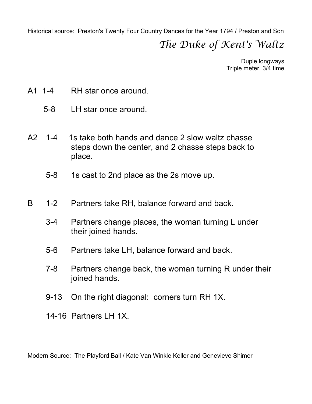Historical source: Preston's Twenty Four Country Dances for the Year 1794 / Preston and Son

#### *The Duke of Kent's Waltz*

Duple longways Triple meter, 3/4 time

- A1 1-4 RH star once around.
	- 5-8 LH star once around.
- A2 1-4 1s take both hands and dance 2 slow waltz chasse steps down the center, and 2 chasse steps back to place.
	- 5-8 1s cast to 2nd place as the 2s move up.
- B 1-2 Partners take RH, balance forward and back.
	- 3-4 Partners change places, the woman turning L under their joined hands.
	- 5-6 Partners take LH, balance forward and back.
	- 7-8 Partners change back, the woman turning R under their joined hands.
	- 9-13 On the right diagonal: corners turn RH 1X.
	- 14-16 Partners LH 1X.

Modern Source: The Playford Ball / Kate Van Winkle Keller and Genevieve Shimer